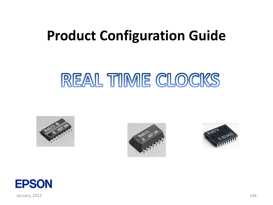# **Product Configuration Guide**

# REAL TIME CLOCKS









January, 2022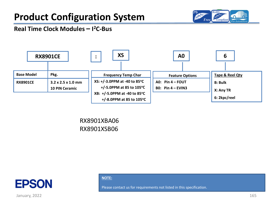

### **Real Time Clock Modules – I 2C-Bus**



RX8901XBA06 RX8901XSB06



January, 2022 2003 165 and 2010 165 and 2010 165 and 2010 165 and 2010 165 and 2010 165 and 2010 165 and 2010 165 and 2010 165 and 2010 165 and 2010 165 and 2010 165 and 2010 167 and 2010 168 and 2010 168 and 2010 168 and

**NOTE:**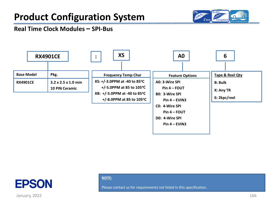

#### **Real Time Clock Modules – SPI-Bus**





January, 2022 2003 166 and 2010 166 and 2010 166 and 2010 166 and 2010 166 and 2010 166 and 2010 166 and 2010 1

**NOTE:**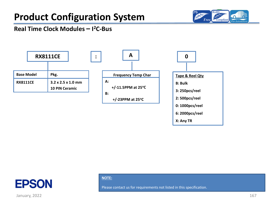

### **Real Time Clock Modules – I 2C-Bus**





January, 2022 2003 167 November 2014 167 November 2016 167 November 2016 167 November 2016 167 November 2016 1

**NOTE:**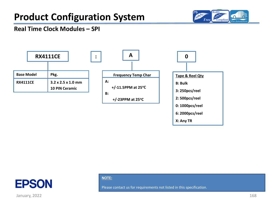

#### **Real Time Clock Modules – SPI**





January, 2022 2003 168 and 2008 168 and 2008 168 and 2008 168 and 2008 168 and 2008 168 and 2008 168 and 2008

**NOTE:**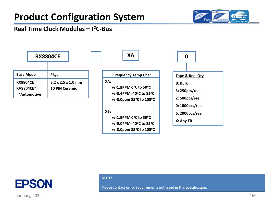

### **Real Time Clock Modules – I 2C-Bus**





January, 2022 2003 169 and the state of the state of the state of the state of the state of the state of the state of the state of the state of the state of the state of the state of the state of the state of the state of

#### **NOTE:**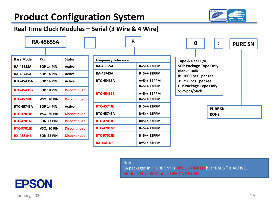

**0 PURE SN**

### **Real Time Clock Modules – Serial (3 Wire & 4 Wire)**

| <b>RA-4565SA</b>                                          |                                  |                                                 | $\bullet$<br>$\bullet$                                              | B                            | 0                                                                      |
|-----------------------------------------------------------|----------------------------------|-------------------------------------------------|---------------------------------------------------------------------|------------------------------|------------------------------------------------------------------------|
| <b>Base Model</b><br><b>RA-4565SA</b><br><b>RA-4574SA</b> | Pkg.<br>SOP 14 PIN<br>SOP 14 PIN | <b>Status</b><br><b>Active</b><br><b>Active</b> | <b>Frequency Tolerance:</b><br><b>RA-4565SA</b><br><b>RA-4574SA</b> | B=5+/-23PPM<br>B=5+/-23PPM   | Tape & Reel Qty<br><b>SOP Package Type Only</b><br><b>Blank: Bulk</b>  |
| <b>RTC-4543SA</b>                                         | SOP 14 PIN                       | <b>Active</b>                                   | <b>RTC-4543SA</b>                                                   | A=5+/-12PPM<br>$B=5+/-23PPM$ | 0: 1000 pcs. per reel<br>3: 250 pcs. per reel<br>DIP Package Type Only |
| <b>RTC-4543SB</b><br><b>RTC-4574JE</b>                    | SOP 18 PIN<br>VSOJ 20 PIN        | <b>Discontinued</b><br><b>Discontinued</b>      | <b>RTC-4543SB</b>                                                   | A=5+/-12PPM<br>B=5+/-23PPM   | S: 25pcs/Stick                                                         |
| <b>RTC-4574SA</b>                                         | SOP 14 PIN                       | <b>Active</b>                                   | <b>RTC-4574JE</b>                                                   | B=5+/-23PPM                  | <b>PURE</b>                                                            |
| <b>RTC-4701JE</b>                                         | VSOJ 20 PIN                      | <b>Discontinued</b>                             | <b>RTC-4574SA</b>                                                   | B=5+/-23PPM                  | <b>ROHS</b>                                                            |
| <b>RTC-4701NB</b>                                         | SON 22 PIN                       | <b>Discontinued</b>                             | <b>RTC-4701JE</b>                                                   | $B=5+/-23PPM$                |                                                                        |
| <b>RTC-9701JE</b>                                         | VSOJ 20 PIN                      | <b>Discontinued</b>                             | <b>RTC-4701NB</b>                                                   | $B=5+/-23PPM$                |                                                                        |
| <b>RX-4581NB</b>                                          | SON 22 PIN                       | <b>Discontinued</b>                             | <b>RTC-9701JE</b>                                                   | $B=5+/-23PPM$                |                                                                        |
|                                                           |                                  |                                                 | <b>RX-4581NB</b>                                                    | $B=5+/-23PPM$                |                                                                        |

**PURE SN**

#### Note:

SA packages in "PURE SN" is DISCONTINUED but "RoHS " is ACTIVE. Model P/N in RED font = DISCONTINUED

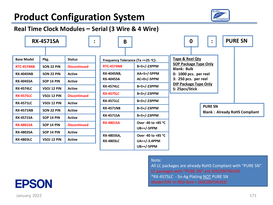

#### **Real Time Clock Modules – Serial (3 Wire & 4 Wire)**

| <b>RX-4571SA</b> |  |  |  |  |
|------------------|--|--|--|--|
|------------------|--|--|--|--|

| <b>Base Model</b> | Pkg.               | <b>Status</b>       |
|-------------------|--------------------|---------------------|
| <b>RTC-4574NB</b> | SON 22 PIN         | <b>Discontinued</b> |
| <b>RX-4045NB</b>  | SON 22 PIN         | <b>Active</b>       |
| <b>RX-4045SA</b>  | SOP 14 PIN         | <b>Active</b>       |
| <b>RX-4574LC</b>  | <b>VSOJ 12 PIN</b> | <b>Active</b>       |
| <b>RX-4575LC</b>  | <b>VSOJ 12 PIN</b> | <b>Discontinued</b> |
| <b>RX-4571LC</b>  | <b>VSOJ 12 PIN</b> | <b>Active</b>       |
| <b>RX-4571NB</b>  | SON 22 PIN         | <b>Active</b>       |
| <b>RX-4571SA</b>  | SOP 14 PIN         | <b>Active</b>       |
| <b>RX-4801SA</b>  | SOP 14 PIN         | <b>Discontinued</b> |
| <b>RX-4803SA</b>  | SOP 14 PIN         | <b>Active</b>       |
| <b>RX-4803LC</b>  | VSOJ 12 PIN        | <b>Active</b>       |
|                   |                    |                     |





#### Note:

All LC packages are already RoHS Compliant with "PURE SN". LC packages with "PURE SN" are DISCONTINUED \*RX-4575LC - Sn-Ag Plating NOT PURE SN Model P/N in RED font = DISCONTINUED

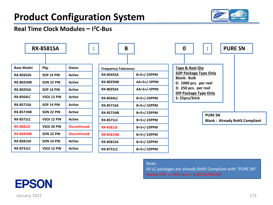

### **Real Time Clock Modules – I 2C-Bus**

| <b>RX-8581SA</b>                |             |                     | $\ddot{\cdot}$ | B                           |             | 0                                                  | $\bullet$<br>$\bullet$ |                                      | <b>PURE SN</b> |
|---------------------------------|-------------|---------------------|----------------|-----------------------------|-------------|----------------------------------------------------|------------------------|--------------------------------------|----------------|
|                                 |             |                     |                |                             |             |                                                    |                        |                                      |                |
| <b>Base Model</b>               | Pkg.        | <b>Status</b>       |                | <b>Frequency Tolerance:</b> |             | <b>Tape &amp; Reel Qty</b>                         |                        |                                      |                |
| SOP 14 PIN<br><b>RA-8565SA</b>  |             | <b>Active</b>       |                | <b>RA-8565SA</b>            | B=5+/-23PPM | <b>SOP Package Type Only</b><br><b>Blank: Bulk</b> |                        |                                      |                |
| <b>RX-8025NB</b>                | SON 22 PIN  | <b>Active</b>       |                | <b>RX-8025NB</b>            | AA=5+/-5PPM | 0: 1000 pcs. per reel                              |                        |                                      |                |
| <b>RX-8025SA</b>                | SOP 14 PIN  | <b>Active</b>       |                | <b>RX-8025SA</b>            | AA=5+/-5PPM | 3: 250 pcs. per reel                               |                        |                                      |                |
| <b>RX-8564LC</b>                | VSOJ 12 PIN | Active              |                | <b>RX-8564LC</b>            | B=5+/-23PPM | <b>DIP Package Type Only</b><br>S: 25pcs/Stick     |                        |                                      |                |
| <b>RX-8571SA</b>                | SOP 14 PIN  | <b>Active</b>       |                | <b>RX-8571SA</b>            | B=5+/-23PPM |                                                    |                        |                                      |                |
| <b>RX-8571NB</b>                | SON 22 PIN  | <b>Active</b>       |                | <b>RX-8571NB</b>            | B=5+/-23PPM |                                                    | <b>PURE SN</b>         |                                      |                |
| VSOJ 12 PIN<br><b>RX-8571LC</b> |             | <b>Active</b>       |                | <b>RX-8571LC</b>            | B=5+/-23PPM |                                                    |                        | <b>Blank: Already RoHS Compliant</b> |                |
| <b>RX-8581JE</b>                | VSOJ 20 PIN | <b>Discontinued</b> |                | <b>RX-8581JE</b>            | B=5+/-23PPM |                                                    |                        |                                      |                |
| <b>RX-8581NB</b>                | SON 22 PIN  | <b>Discontinued</b> |                | <b>RX-8581NB</b>            | B=5+/-23PPM |                                                    |                        |                                      |                |
| <b>RX-8581SA</b>                | SON 14 PIN  | <b>Active</b>       |                | <b>RX-8581SA</b>            | B=5+/-23PPM |                                                    |                        |                                      |                |
| <b>RX-8731LC</b>                | VSOJ 12 PIN | <b>Active</b>       |                | <b>RX-8731LC</b>            | B=5+/-23PPM |                                                    |                        |                                      |                |

#### Note:

All LC packages are already RoHS Compliant with "PURE SN" Model P/N in RED font = DISCONTINUED

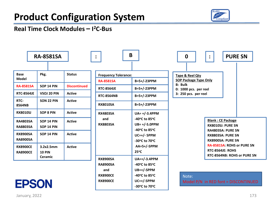

### **Real Time Clock Modules – I 2C-Bus**

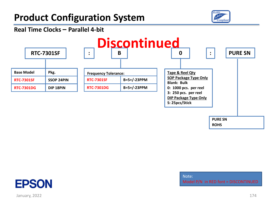

#### **Real Time Clocks – Parallel 4-bit**





Note: Model P/N in RED font = DISCONTINUED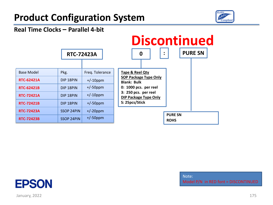

#### **Real Time Clocks – Parallel 4-bit**